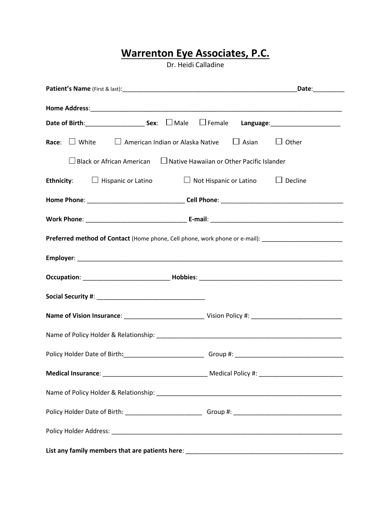# **Warrenton Eye Associates, P.C.**

Dr. Heidi Calladine

|                                                                                                     | Date:__________ |  |  |
|-----------------------------------------------------------------------------------------------------|-----------------|--|--|
|                                                                                                     |                 |  |  |
| Date of Birth: Sex: □ Male<br>$\Box$ Female                                                         |                 |  |  |
| <b>Race:</b> $\Box$ White $\Box$ American Indian or Alaska Native $\Box$ Asian                      | $\Box$ Other    |  |  |
| □ Black or African American □ Native Hawaiian or Other Pacific Islander                             |                 |  |  |
| <b>Ethnicity:</b> $\Box$ Hispanic or Latino<br>□ Not Hispanic or Latino □ □ Decline                 |                 |  |  |
|                                                                                                     |                 |  |  |
|                                                                                                     |                 |  |  |
| Preferred method of Contact (Home phone, Cell phone, work phone or e-mail): _______________________ |                 |  |  |
|                                                                                                     |                 |  |  |
|                                                                                                     |                 |  |  |
|                                                                                                     |                 |  |  |
|                                                                                                     |                 |  |  |
|                                                                                                     |                 |  |  |
|                                                                                                     |                 |  |  |
|                                                                                                     |                 |  |  |
|                                                                                                     |                 |  |  |
|                                                                                                     |                 |  |  |
|                                                                                                     |                 |  |  |
|                                                                                                     |                 |  |  |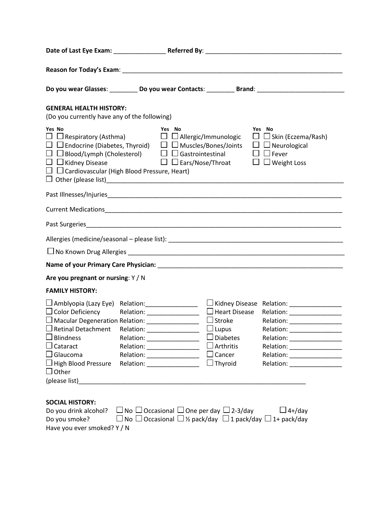|                                                                                                                                                                                                                                                                                                                                                                                                                                  | Do you wear Glasses: ___________Do you wear Contacts: ___________Brand: ____________________________                                                                                                                                                                                                                                                                                                                                                                                                                                                        |  |  |
|----------------------------------------------------------------------------------------------------------------------------------------------------------------------------------------------------------------------------------------------------------------------------------------------------------------------------------------------------------------------------------------------------------------------------------|-------------------------------------------------------------------------------------------------------------------------------------------------------------------------------------------------------------------------------------------------------------------------------------------------------------------------------------------------------------------------------------------------------------------------------------------------------------------------------------------------------------------------------------------------------------|--|--|
| <b>GENERAL HEALTH HISTORY:</b><br>(Do you currently have any of the following)                                                                                                                                                                                                                                                                                                                                                   |                                                                                                                                                                                                                                                                                                                                                                                                                                                                                                                                                             |  |  |
| Yes No<br>$\Box$ $\Box$ Kidney Disease<br>$\Box$ $\Box$ Cardiovascular (High Blood Pressure, Heart)                                                                                                                                                                                                                                                                                                                              | Yes No<br>Yes No<br>$\Box$ Respiratory (Asthma) $\Box$ $\Box$ Allergic/Immunologic<br>$\Box$ Skin (Eczema/Rash)<br>$\Box$ Endocrine (Diabetes, Thyroid) $\Box$ Muscles/Bones/Joints<br>$\Box$ Neurological<br>$\Box$ $\Box$ Blood/Lymph (Cholesterol) $\Box$ $\Box$ Gastrointestinal<br>$\Box$ $\Box$ Fever<br>$\Box$ $\Box$ Ears/Nose/Throat $\Box$ $\Box$ Weight Loss                                                                                                                                                                                     |  |  |
|                                                                                                                                                                                                                                                                                                                                                                                                                                  |                                                                                                                                                                                                                                                                                                                                                                                                                                                                                                                                                             |  |  |
|                                                                                                                                                                                                                                                                                                                                                                                                                                  |                                                                                                                                                                                                                                                                                                                                                                                                                                                                                                                                                             |  |  |
|                                                                                                                                                                                                                                                                                                                                                                                                                                  |                                                                                                                                                                                                                                                                                                                                                                                                                                                                                                                                                             |  |  |
|                                                                                                                                                                                                                                                                                                                                                                                                                                  |                                                                                                                                                                                                                                                                                                                                                                                                                                                                                                                                                             |  |  |
|                                                                                                                                                                                                                                                                                                                                                                                                                                  |                                                                                                                                                                                                                                                                                                                                                                                                                                                                                                                                                             |  |  |
|                                                                                                                                                                                                                                                                                                                                                                                                                                  |                                                                                                                                                                                                                                                                                                                                                                                                                                                                                                                                                             |  |  |
| Are you pregnant or nursing: Y / N                                                                                                                                                                                                                                                                                                                                                                                               |                                                                                                                                                                                                                                                                                                                                                                                                                                                                                                                                                             |  |  |
| <b>FAMILY HISTORY:</b>                                                                                                                                                                                                                                                                                                                                                                                                           |                                                                                                                                                                                                                                                                                                                                                                                                                                                                                                                                                             |  |  |
| $\Box$ Amblyopia (Lazy Eye) Relation: _____________________<br>□ Color Deficiency Relation: _______________<br><b>Blindness</b><br>Cataract<br>Glaucoma<br><b>High Blood Pressure</b><br>Other<br>(please list) and the contract of the contract of the contract of the contract of the contract of the contract of the contract of the contract of the contract of the contract of the contract of the contract of the contract | □ Kidney Disease Relation: ________________<br>□ Heart Disease Relation: _________________<br>□ Macular Degeneration Relation: _________________ □ Stroke     Relation: _________________________<br>$\Box$ Retinal Detachment Relation: _______________ U_Lupus Relation: ____________<br>Diabetes<br>Relation: __________________<br>Relation: ___________________<br>Arthritis<br>Relation: __________________<br>$\mathbf{I}$<br>Cancer<br>Relation: __________________<br>$\Box$ Thyroid<br>Relation: ________________<br>Relation: __________________ |  |  |
| <b>SOCIAL HISTORY:</b><br>Do you drink alcohol?<br>Do you smoke?<br>Have you ever smoked? Y / N                                                                                                                                                                                                                                                                                                                                  | $\Box$ No $\Box$ Occasional $\Box$ One per day $\Box$ 2-3/day<br>$\Box$ 4+/day<br>$\Box$ No $\Box$ Occasional $\Box$ ½ pack/day $\Box$ 1 pack/day $\Box$ 1+ pack/day                                                                                                                                                                                                                                                                                                                                                                                        |  |  |